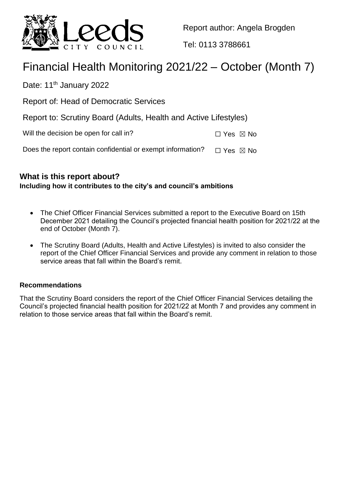

Report author: Angela Brogden

Tel: 0113 3788661

# Financial Health Monitoring 2021/22 – October (Month 7)

Date: 11<sup>th</sup> January 2022

Report of: Head of Democratic Services

Report to: Scrutiny Board (Adults, Health and Active Lifestyles)

| Will the decision be open for call in? | $\Box$ Yes $\boxtimes$ No |  |
|----------------------------------------|---------------------------|--|
|----------------------------------------|---------------------------|--|

Does the report contain confidential or exempt information?  $\Box$  Yes  $\boxtimes$  No

## **What is this report about?**

## **Including how it contributes to the city's and council's ambitions**

- The Chief Officer Financial Services submitted a report to the Executive Board on 15th December 2021 detailing the Council's projected financial health position for 2021/22 at the end of October (Month 7).
- The Scrutiny Board (Adults, Health and Active Lifestyles) is invited to also consider the report of the Chief Officer Financial Services and provide any comment in relation to those service areas that fall within the Board's remit.

## **Recommendations**

That the Scrutiny Board considers the report of the Chief Officer Financial Services detailing the Council's projected financial health position for 2021/22 at Month 7 and provides any comment in relation to those service areas that fall within the Board's remit.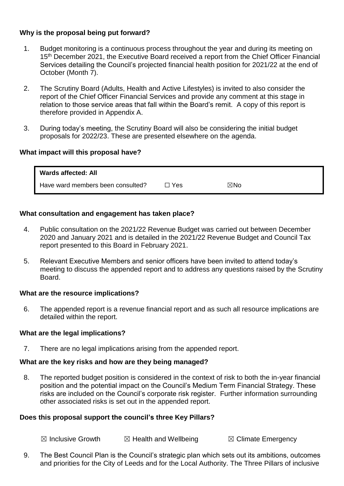### **Why is the proposal being put forward?**

- 1. Budget monitoring is a continuous process throughout the year and during its meeting on 15<sup>th</sup> December 2021, the Executive Board received a report from the Chief Officer Financial Services detailing the Council's projected financial health position for 2021/22 at the end of October (Month 7).
- 2. The Scrutiny Board (Adults, Health and Active Lifestyles) is invited to also consider the report of the Chief Officer Financial Services and provide any comment at this stage in relation to those service areas that fall within the Board's remit. A copy of this report is therefore provided in Appendix A.
- 3. During today's meeting, the Scrutiny Board will also be considering the initial budget proposals for 2022/23. These are presented elsewhere on the agenda.

#### **What impact will this proposal have?**

| Wards affected: All               |       |     |  |
|-----------------------------------|-------|-----|--|
| Have ward members been consulted? | ∃ Yes | ⊠No |  |

#### **What consultation and engagement has taken place?**

- 4. Public consultation on the 2021/22 Revenue Budget was carried out between December 2020 and January 2021 and is detailed in the 2021/22 Revenue Budget and Council Tax report presented to this Board in February 2021.
- 5. Relevant Executive Members and senior officers have been invited to attend today's meeting to discuss the appended report and to address any questions raised by the Scrutiny Board.

#### **What are the resource implications?**

6. The appended report is a revenue financial report and as such all resource implications are detailed within the report.

#### **What are the legal implications?**

7. There are no legal implications arising from the appended report.

#### **What are the key risks and how are they being managed?**

8. The reported budget position is considered in the context of risk to both the in-year financial position and the potential impact on the Council's Medium Term Financial Strategy. These risks are included on the Council's corporate risk register. Further information surrounding other associated risks is set out in the appended report.

#### **Does this proposal support the council's three Key Pillars?**

 $\boxtimes$  Inclusive Growth  $\boxtimes$  Health and Wellbeing  $\boxtimes$  Climate Emergency

9. The Best Council Plan is the Council's strategic plan which sets out its ambitions, outcomes and priorities for the City of Leeds and for the Local Authority. The Three Pillars of inclusive